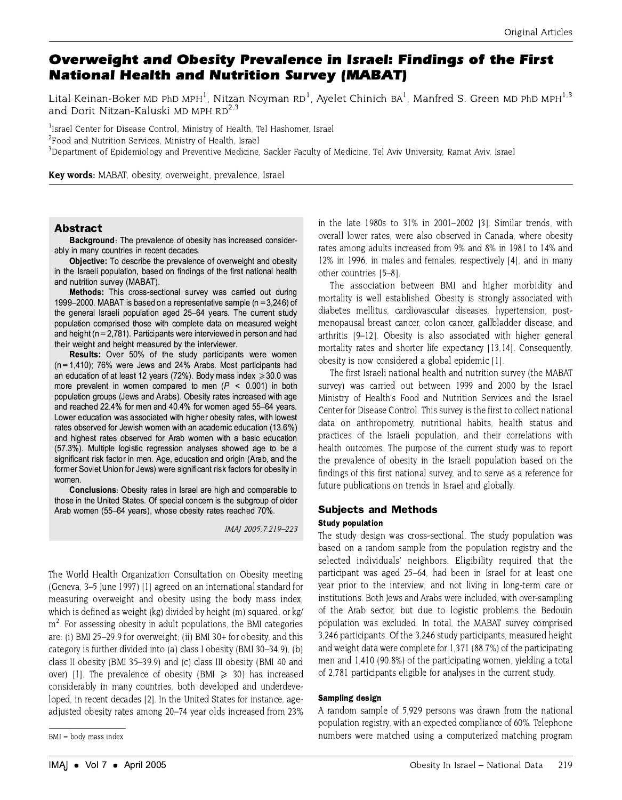# Overweight and Obesity Prevalence in Israel: Findings of the First **National Health and Nutrition Survey (MABAT)**

Lital Keinan-Boker MD PhD MPH<sup>1</sup>. Nitzan Novman RD<sup>1</sup>. Avelet Chinich BA<sup>1</sup>. Manfred S. Green MD PhD MPH<sup>1,3</sup> and Dorit Nitzan-Kaluski MD MPH RD<sup>2,3</sup>

<sup>1</sup>Israel Center for Disease Control, Ministry of Health, Tel Hashomer, Israel <sup>2</sup>Food and Nutrition Services, Ministry of Health, Israel <sup>3</sup>Department of Epidemiology and Preventive Medicine, Sackler Faculty of Medicine, Tel Aviv University, Ramat Aviv, Israel

Key words: MABAT, obesity, overweight, prevalence, Israel

#### **Abstract**

**Background:** The prevalence of obesity has increased considerably in many countries in recent decades.

Objective: To describe the prevalence of overweight and obesity in the Israeli population, based on findings of the first national health and nutrition survey (MABAT).

Methods: This cross-sectional survey was carried out during 1999–2000. MABAT is based on a representative sample ( $n = 3,246$ ) of the general Israeli population aged 25-64 years. The current study population comprised those with complete data on measured weight and height ( $n = 2,781$ ). Participants were interviewed in person and had their weight and height measured by the interviewer.

Results: Over 50% of the study participants were women  $(n = 1,410)$ ; 76% were Jews and 24% Arabs. Most participants had an education of at least 12 years (72%). Body mass index  $\geq 30.0$  was more prevalent in women compared to men ( $P < 0.001$ ) in both population groups (Jews and Arabs). Obesity rates increased with age and reached 22.4% for men and 40.4% for women aged 55-64 years. Lower education was associated with higher obesity rates, with lowest rates observed for Jewish women with an academic education (13.6%) and highest rates observed for Arab women with a basic education (57.3%). Multiple logistic regression analyses showed age to be a significant risk factor in men. Age, education and origin (Arab, and the former Soviet Union for Jews) were significant risk factors for obesity in women.

**Conclusions:** Obesity rates in Israel are high and comparable to those in the United States. Of special concern is the subgroup of older Arab women (55-64 years), whose obesity rates reached 70%.

IMAI 2005:7:219-223

The World Health Organization Consultation on Obesity meeting (Geneva, 3–5 June 1997) [1] agreed on an international standard for measuring overweight and obesity using the body mass index, which is defined as weight (kg) divided by height (m) squared, or kg/  $m<sup>2</sup>$ . For assessing obesity in adult populations, the BMI categories are: (i) BMI 25-29.9 for overweight; (ii) BMI 30+ for obesity, and this category is further divided into (a) class I obesity (BMI 30-34.9), (b) class II obesity (BMI 35-39.9) and (c) class III obesity (BMI 40 and over) [1]. The prevalence of obesity (BMI  $\ge$  30) has increased considerably in many countries, both developed and underdeveloped, in recent decades [2]. In the United States for instance, ageadjusted obesity rates among 20–74 year olds increased from 23% in the late 1980s to 31% in 2001-2002 [3]. Similar trends, with overall lower rates, were also observed in Canada, where obesity rates among adults increased from 9% and 8% in 1981 to 14% and 12% in 1996, in males and females, respectively [4], and in many other countries [5-8].

The association between BMI and higher morbidity and mortality is well established. Obesity is strongly associated with diabetes mellitus, cardiovascular diseases, hypertension, postmenopausal breast cancer, colon cancer, gallbladder disease, and arthritis [9-12]. Obesity is also associated with higher general mortality rates and shorter life expectancy [13,14]. Consequently, obesity is now considered a global epidemic [1].

The first Israeli national health and nutrition survey (the MABAT survey) was carried out between 1999 and 2000 by the Israel Ministry of Health's Food and Nutrition Services and the Israel Center for Disease Control. This survey is the first to collect national data on anthropometry, nutritional habits, health status and practices of the Israeli population, and their correlations with health outcomes. The purpose of the current study was to report the prevalence of obesity in the Israeli population based on the findings of this first national survey, and to serve as a reference for future publications on trends in Israel and globally.

#### **Subjects and Methods**

#### **Study population**

The study design was cross-sectional. The study population was based on a random sample from the population registry and the selected individuals' neighbors. Eligibility required that the participant was aged 25–64, had been in Israel for at least one year prior to the interview, and not living in long-term care or institutions. Both Jews and Arabs were included, with over-sampling of the Arab sector, but due to logistic problems the Bedouin population was excluded. In total, the MABAT survey comprised 3,246 participants. Of the 3,246 study participants, measured height and weight data were complete for 1,371 (88.7%) of the participating men and 1,410 (90.8%) of the participating women, yielding a total of 2,781 participants eligible for analyses in the current study.

#### **Sampling design**

A random sample of 5,929 persons was drawn from the national population registry, with an expected compliance of 60%. Telephone numbers were matched using a computerized matching program

BMI = body mass index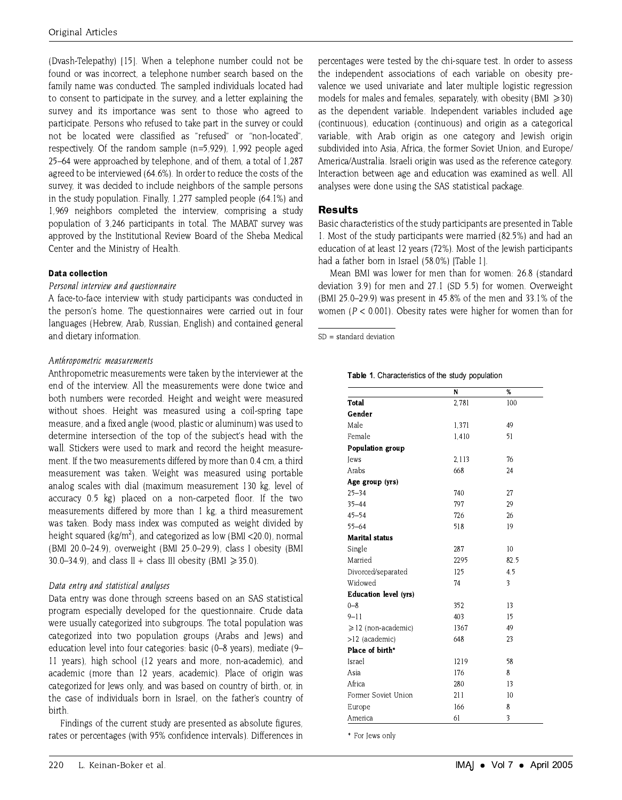(Dyash-Telepathy) [15]. When a telephone number could not be found or was incorrect, a telephone number search based on the family name was conducted. The sampled individuals located had to consent to participate in the survey, and a letter explaining the survey and its importance was sent to those who agreed to participate. Persons who refused to take part in the survey or could not be located were classified as "refused" or "non-located", respectively. Of the random sample  $(n=5.929)$ , 1,992 people aged 25–64 were approached by telephone, and of them, a total of 1,287 agreed to be interviewed (64.6%). In order to reduce the costs of the survey, it was decided to include neighbors of the sample persons in the study population. Finally, 1,277 sampled people (64.1%) and 1,969 neighbors completed the interview, comprising a study population of 3.246 participants in total. The MABAT survey was approved by the Institutional Review Board of the Sheba Medical Center and the Ministry of Health.

## **Data collection**

## Personal interview and questionnaire

A face-to-face interview with study participants was conducted in the person's home. The questionnaires were carried out in four languages (Hebrew, Arab, Russian, English) and contained general and dietary information.

## Anthropometric measurements

Anthropometric measurements were taken by the interviewer at the end of the interview. All the measurements were done twice and both numbers were recorded. Height and weight were measured without shoes. Height was measured using a coil-spring tape measure, and a fixed angle (wood, plastic or aluminum) was used to determine intersection of the top of the subject's head with the wall. Stickers were used to mark and record the height measurement. If the two measurements differed by more than 0.4 cm, a third measurement was taken. Weight was measured using portable analog scales with dial (maximum measurement 130 kg, level of accuracy 0.5 kg) placed on a non-carpeted floor. If the two measurements differed by more than 1 kg, a third measurement was taken. Body mass index was computed as weight divided by height squared (kg/m<sup>2</sup>), and categorized as low (BMI <20.0), normal (BMI 20.0-24.9), overweight (BMI 25.0-29.9), class I obesity (BMI 30.0-34.9), and class II + class III obesity (BMI  $\ge$  35.0).

## Data entry and statistical analyses

Data entry was done through screens based on an SAS statistical program especially developed for the questionnaire. Crude data were usually categorized into subgroups. The total population was categorized into two population groups (Arabs and Jews) and education level into four categories: basic (0-8 years), mediate (9-11 years), high school (12 years and more, non-academic), and academic (more than 12 years, academic). Place of origin was categorized for Jews only, and was based on country of birth, or, in the case of individuals born in Israel, on the father's country of birth.

Findings of the current study are presented as absolute figures, rates or percentages (with 95% confidence intervals). Differences in percentages were tested by the chi-square test. In order to assess the independent associations of each variable on obesity prevalence we used univariate and later multiple logistic regression models for males and females, separately, with obesity (BMI  $\geq$  30) as the dependent variable. Independent variables included age (continuous), education (continuous) and origin as a categorical variable, with Arab origin as one category and Jewish origin subdivided into Asia, Africa, the former Soviet Union, and Europe/ America/Australia. Israeli origin was used as the reference category. Interaction between age and education was examined as well. All analyses were done using the SAS statistical package.

# **Results**

Basic characteristics of the study participants are presented in Table 1. Most of the study participants were married (82.5%) and had an education of at least 12 years (72%). Most of the Jewish participants had a father born in Israel (58.0%) [Table 1].

Mean BMI was lower for men than for women: 26.8 (standard deviation 3.9) for men and 27.1 (SD 5.5) for women. Overweight (BMI 25.0–29.9) was present in 45.8% of the men and 33.1% of the women ( $P < 0.001$ ). Obesity rates were higher for women than for

|                              | N     | %    |
|------------------------------|-------|------|
| Total                        | 2,781 | 100  |
| Gender                       |       |      |
| Male                         | 1,371 | 49   |
| Female                       | 1.410 | 51   |
| Population group             |       |      |
| lews                         | 2,113 | 76   |
| Arabs                        | 668   | 24   |
| Age group (yrs)              |       |      |
| $25 - 34$                    | 740   | 27   |
| $35 - 44$                    | 797   | 29   |
| $45 - 54$                    | 726   | 26   |
| $55 - 64$                    | 518   | 19   |
| <b>Marital status</b>        |       |      |
| Single                       | 287   | 10   |
| Married                      | 2295  | 82.5 |
| Divorced/separated           | 125   | 4.5  |
| Widowed                      | 74    | 3    |
| <b>Education level (yrs)</b> |       |      |
| $0 - 8$                      | 352   | 13   |
| $9 - 11$                     | 403   | 15   |
| $\geq 12$ (non-academic)     | 1367  | 49   |
| >12 (academic)               | 648   | 23   |
| Place of birth*              |       |      |
| Israel                       | 1219  | 58   |
| Asia                         | 176   | 8    |
| Africa                       | 280   | 13   |
| Former Soviet Union          | 211   | 10   |
| Europe                       | 166   | 8    |
| America                      | 61    | 3    |

Table 1. Characteristics of the study population

 $SD = standard deviation$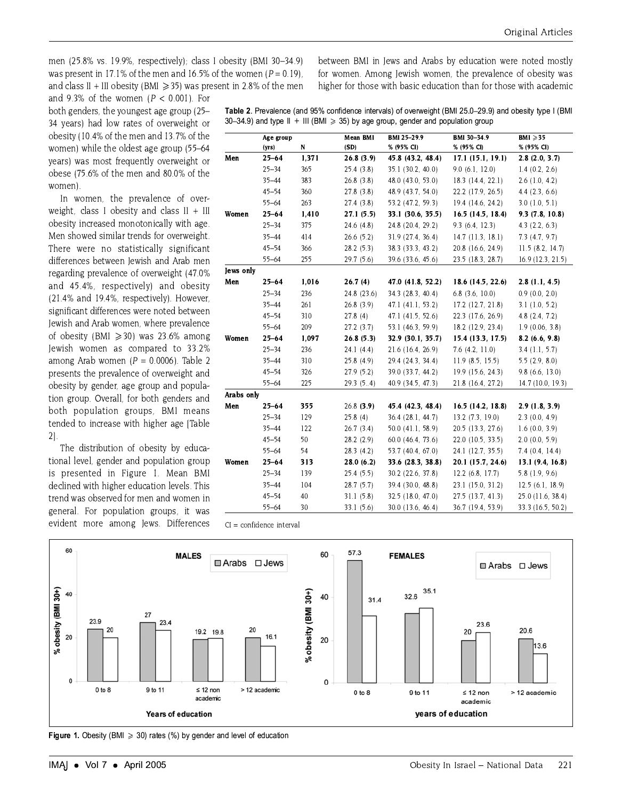men (25.8% vs. 19.9%, respectively): class I obesity (BMI 30-34.9) was present in 17.1% of the men and 16.5% of the women  $(P = 0.19)$ . and class II + III obesity (BMI  $\geq$  35) was present in 2.8% of the men between BMI in Jews and Arabs by education were noted mostly for women. Among Jewish women, the prevalence of obesity was higher for those with basic education than for those with academic

and 9.3% of the women  $(P < 0.001)$ . For both genders, the youngest age group (25-34 years) had low rates of overweight or obesity (10.4% of the men and 13.7% of the women) while the oldest age group (55-64 years) was most frequently overweight or obese (75.6% of the men and 80.0% of the women).

In women, the prevalence of overweight. class I obesity and class  $II + III$ obesity increased monotonically with age. Men showed similar trends for overweight There were no statistically significant differences between Jewish and Arab men regarding prevalence of overweight (47.0% and 45.4%, respectively) and obesity (21.4% and 19.4%, respectively). However, significant differences were noted between Jewish and Arab women, where prevalence of obesity (BMI  $\geq$  30) was 23.6% among Jewish women as compared to 33.2% among Arab women ( $P = 0.0006$ ). Table 2 presents the prevalence of overweight and obesity by gender, age group and population group. Overall, for both genders and both population groups, BMI means tended to increase with higher age [Table  $2$ ].

The distribution of obesity by educational level, gender and population group is presented in Figure 1. Mean BMI declined with higher education levels. This trend was observed for men and women in general. For population groups, it was evident more among Jews. Differences

|            | Age group |           | <b>Mean BMI</b> | BMI 25-29.9       | BMI 30-34.9         | BMI $\geqslant$ 35 |
|------------|-----------|-----------|-----------------|-------------------|---------------------|--------------------|
|            | (yrs)     | ${\bf N}$ | (SD)            | % (95% CI)        | % (95% CI)          | % (95% CI)         |
| Men        | $25 - 64$ | 1,371     | 26.8(3.9)       | 45.8 (43.2, 48.4) | 17.1(15.1, 19.1)    | 2.8(2.0, 3.7)      |
|            | 25–34     | 365       | 25.4(3.8)       | 35.1 (30.2, 40.0) | 9.0(6.1, 12.0)      | 1.4(0.2, 2.6)      |
|            | $35 - 44$ | 383       | 26.8(3.8)       | 48.0 (43.0, 53.0) | 18.3 (14.4, 22.1)   | $2.6$ (1.0, 4.2)   |
|            | $45 - 54$ | 360       | 27.8 (3.8)      | 48.9 (43.7, 54.0) | 22.2 (17.9, 26.5)   | 4.4(2.3, 6.6)      |
|            | $55 - 64$ | 263       | 27.4(3.8)       | 53.2 (47.2, 59.3) | 19.4 (14.6, 24.2)   | $3.0$ (1.0, 5.1)   |
| Women      | $25 - 64$ | 1,410     | 27.1(5.5)       | 33.1 (30.6, 35.5) | 16.5(14.5, 18.4)    | 9.3(7.8, 10.8)     |
|            | $25 - 34$ | 375       | 24.6(4.8)       | 24.8 (20.4, 29.2) | 9.3(6.4, 12.3)      | $4.3$ $(2.2, 6.3)$ |
|            | $35 - 44$ | 414       | 26.6(5.2)       | 31.9 (27.4, 36.4) | $14.7$ (11.3, 18.1) | 7.3(4.7, 9.7)      |
|            | $45 - 54$ | 366       | 28.2(5.3)       | 38.3 (33.3, 43.2) | 20.8 (16.6, 24.9)   | 11.5(8.2, 14.7)    |
|            | $55 - 64$ | 255       | 29.7 (5.6)      | 39.6 (33.6, 45.6) | 23.5 (18.3, 28.7)   | 16.9 (12.3, 21.5)  |
| Jews only  |           |           |                 |                   |                     |                    |
| Men        | $25 - 64$ | 1,016     | 26.7(4)         | 47.0 (41.8, 52.2) | 18.6 (14.5, 22.6)   | 2.8(1.1, 4.5)      |
|            | $25 - 34$ | 236       | 24.8 (23.6)     | 34.3 (28.3, 40.4) | $6.8$ (3.6, 10.0)   | 0.9(0.0, 2.0)      |
|            | $35 - 44$ | 261       | 26.8(3.9)       | 47.1 (41.1, 53.2) | 17.2 (12.7, 21.8)   | $3.1$ (1.0, 5.2)   |
|            | $45 - 54$ | 310       | 27.8(4)         | 47.1 (41.5, 52.6) | 22.3 (17.6, 26.9)   | 4.8(2.4, 7.2)      |
|            | $55 - 64$ | 209       | 27.2(3.7)       | 53.1 (46.3, 59.9) | 18.2 (12.9, 23.4)   | 1.9(0.06, 3.8)     |
| Women      | $25 - 64$ | 1,097     | 26.8(5.3)       | 32.9 (30.1, 35.7) | 15.4 (13.3, 17.5)   | 8.2(6.6, 9.8)      |
|            | $25 - 34$ | 236       | 24.1(4.4)       | 21.6 (16.4, 26.9) | $7.6$ $(4.2, 11.0)$ | $3.4$ (1.1, 5.7)   |
|            | $35 - 44$ | 310       | 25.8(4.9)       | 29.4 (24.3, 34.4) | 11.9(8.5, 15.5)     | 5.5(2.9, 8.0)      |
|            | $45 - 54$ | 326       | 27.9 (5.2)      | 39.0 (33.7, 44.2) | 19.9 (15.6, 24.3)   | 9.8(6.6, 13.0)     |
|            | $55 - 64$ | 225       | 29.3 (54)       | 40.9 (34.5, 47.3) | 21.8 (16.4, 27.2)   | 14.7 (10.0, 19.3)  |
| Arabs only |           |           |                 |                   |                     |                    |
| Men        | $25 - 64$ | 355       | $26.8$ (3.9)    | 45.4 (42.3, 48.4) | 16.5(14.2, 18.8)    | 2.9(1.8, 3.9)      |
|            | $25 - 34$ | 129       | 25.8(4)         | 36.4 (28.1, 44.7) | 13.2 (7.3, 19.0)    | $2.3$ (0.0, 4.9)   |
|            | $35 - 44$ | 122       | 26.7(3.4)       | 50.0 (41.1, 58.9) | 20.5 (13.3, 27.6)   | 1.6(0.0, 3.9)      |
|            | $45 - 54$ | 50        | 28.2(2.9)       | 60.0 (46.4, 73.6) | 22.0 (10.5, 33.5)   | 2.0(0.0, 5.9)      |
|            | $55 - 64$ | 54        | 28.3(4.2)       | 53.7 (40.4, 67.0) | 24.1 (12.7, 35.5)   | 7.4(0.4, 14.4)     |
| Women      | $25 - 64$ | 313       | 28.0(6.2)       | 33.6 (28.3, 38.8) | 20.1 (15.7, 24.6)   | 13.1 (9.4, 16.8)   |
|            | $25 - 34$ | 139       | 25.4(5.5)       | 30.2 (22.6, 37.8) | 12.2 (6.8, 17.7)    | $5.8$ (1.9, 9.6)   |
|            | $35 - 44$ | 104       | 28.7(5.7)       | 39.4 (30.0, 48.8) | 23.1 (15.0, 31.2)   | 12.5(6.1, 18.9)    |
|            | $45 - 54$ | 40        | 31.1(5.8)       | 32.5 (18.0, 47.0) | 27.5 (13.7, 41.3)   | 25.0 (11.6, 38.4)  |
|            | $55 - 64$ | 30        | 33.1(5.6)       | 30.0 (13.6, 46.4) | 36.7 (19.4, 53.9)   | 33.3 (16.5, 50.2)  |

Table 2. Prevalence (and 95% confidence intervals) of overweight (BMI 25.0-29.9) and obesity type I (BMI



**Figure 1.** Obesity (BMI  $\geq$  30) rates (%) by gender and level of education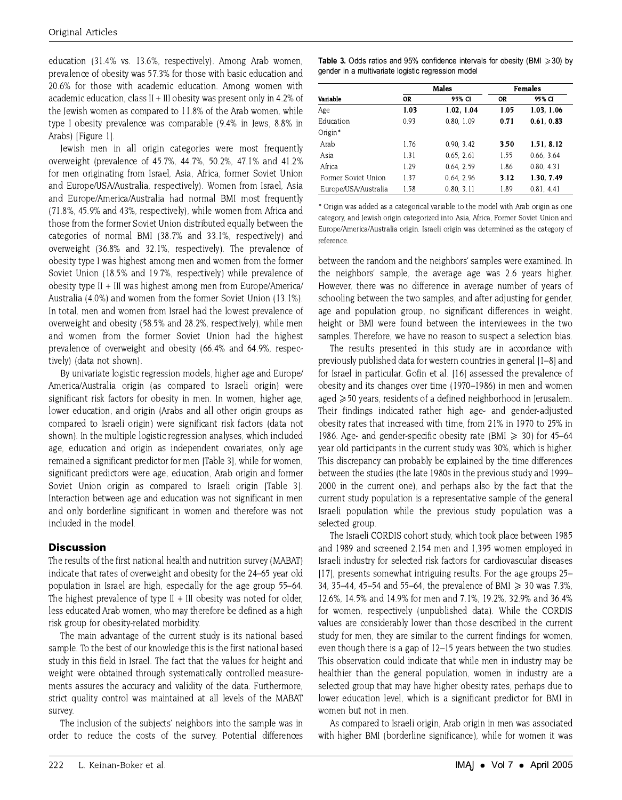education (31.4% vs. 13.6%, respectively). Among Arab women, prevalence of obesity was 57.3% for those with basic education and 20.6% for those with academic education. Among women with academic education, class II + III obesity was present only in 4.2% of the Jewish women as compared to 11.8% of the Arab women, while type I obesity prevalence was comparable (9.4% in Jews, 8.8% in Arabs) [Figure 1].

Jewish men in all origin categories were most frequently overweight (prevalence of 45.7%, 44.7%, 50.2%, 47.1% and 41.2% for men originating from Israel, Asia, Africa, former Soviet Union and Europe/USA/Australia, respectively). Women from Israel, Asia and Europe/America/Australia had normal BMI most frequently (71.8%, 45.9% and 43%, respectively), while women from Africa and those from the former Soviet Union distributed equally between the categories of normal BMI (38.7% and 33.1%, respectively) and overweight (36.8% and 32.1%, respectively). The prevalence of obesity type I was highest among men and women from the former Soviet Union (18.5% and 19.7%, respectively) while prevalence of obesity type II + III was highest among men from Europe/America/ Australia (4.0%) and women from the former Soviet Union (13.1%). In total, men and women from Israel had the lowest prevalence of overweight and obesity (58.5% and 28.2%, respectively), while men and women from the former Soviet Union had the highest prevalence of overweight and obesity (66.4% and 64.9%, respectively) (data not shown).

By univariate logistic regression models, higher age and Europe/ America/Australia origin (as compared to Israeli origin) were significant risk factors for obesity in men. In women, higher age, lower education, and origin (Arabs and all other origin groups as compared to Israeli origin) were significant risk factors (data not shown). In the multiple logistic regression analyses, which included age, education and origin as independent covariates, only age remained a significant predictor for men (Table 3), while for women. significant predictors were age, education, Arab origin and former Soviet Union origin as compared to Israeli origin [Table 3]. Interaction between age and education was not significant in men and only borderline significant in women and therefore was not included in the model.

# **Discussion**

The results of the first national health and nutrition survey (MABAT) indicate that rates of overweight and obesity for the 24–65 year old population in Israel are high, especially for the age group 55–64. The highest prevalence of type II  $+$  III obesity was noted for older, less educated Arab women, who may therefore be defined as a high risk group for obesity-related morbidity.

The main advantage of the current study is its national based sample. To the best of our knowledge this is the first national based study in this field in Israel. The fact that the values for height and weight were obtained through systematically controlled measurements assures the accuracy and validity of the data. Furthermore, strict quality control was maintained at all levels of the MABAT survey.

The inclusion of the subjects' neighbors into the sample was in order to reduce the costs of the survey. Potential differences

|  |  |  | <b>Table 3.</b> Odds ratios and 95% confidence intervals for obesity (BMI $\geq 30$ ) by |  |  |  |
|--|--|--|------------------------------------------------------------------------------------------|--|--|--|
|  |  |  | gender in a multivariate logistic regression model                                       |  |  |  |

|                      |      | Males      | <b>Females</b> |            |  |
|----------------------|------|------------|----------------|------------|--|
| Variable             | 0R   | 95% CI     | OR             | 95% CI     |  |
| Age                  | 1.03 | 1.02, 1.04 | 1.05           | 1.03, 1.06 |  |
| Education            | 0.93 | 0.80.1.09  | 0.71           | 0.61, 0.83 |  |
| Origin*              |      |            |                |            |  |
| Arab                 | 1.76 | 0.90.3.42  | 3.50           | 1.51, 8.12 |  |
| Asia                 | 1.31 | 0.65, 2.61 | 1.55           | 0.66 3.64  |  |
| Africa               | 1.29 | 0.64.2.59  | 1.86           | 0.80, 4.31 |  |
| Former Soviet Union  | 1.37 | 0.64.2.96  | 3.12           | 1.30. 7.49 |  |
| Europe/USA/Australia | 1.58 | 0.80, 3.11 | 1.89           | 0.81, 4.41 |  |

\* Origin was added as a categorical variable to the model with Arab origin as one category, and Jewish origin categorized into Asia, Africa, Former Soviet Union and Europe/America/Australia origin. Israeli origin was determined as the category of reference.

between the random and the neighbors' samples were examined. In the neighbors' sample, the average age was 2.6 years higher. However, there was no difference in average number of years of schooling between the two samples, and after adjusting for gender, age and population group, no significant differences in weight, height or BMI were found between the interviewees in the two samples. Therefore, we have no reason to suspect a selection bias.

The results presented in this study are in accordance with previously published data for western countries in general [1-8] and for Israel in particular. Gofin et al. [16] assessed the prevalence of obesity and its changes over time (1970–1986) in men and women aged ≥50 years, residents of a defined neighborhood in Jerusalem. Their findings indicated rather high age- and gender-adjusted obesity rates that increased with time, from 21% in 1970 to 25% in 1986. Age- and gender-specific obesity rate (BMI  $\geq$  30) for 45–64 year old participants in the current study was 30%, which is higher. This discrepancy can probably be explained by the time differences between the studies (the late 1980s in the previous study and 1999-2000 in the current one), and perhaps also by the fact that the current study population is a representative sample of the general Israeli population while the previous study population was a selected group.

The Israeli CORDIS cohort study, which took place between 1985 and 1989 and screened 2,154 men and 1,395 women employed in Israeli industry for selected risk factors for cardiovascular diseases [17], presents somewhat intriguing results. For the age groups 25– 34, 35–44, 45–54 and 55–64, the prevalence of BMI  $\geq$  30 was 7.3%, 12.6%, 14.5% and 14.9% for men and 7.1%, 19.2%, 32.9% and 36.4% for women, respectively (unpublished data). While the CORDIS values are considerably lower than those described in the current study for men, they are similar to the current findings for women, even though there is a gap of 12-15 years between the two studies. This observation could indicate that while men in industry may be healthier than the general population, women in industry are a selected group that may have higher obesity rates, perhaps due to lower education level, which is a significant predictor for BMI in women but not in men.

As compared to Israeli origin, Arab origin in men was associated with higher BMI (borderline significance), while for women it was